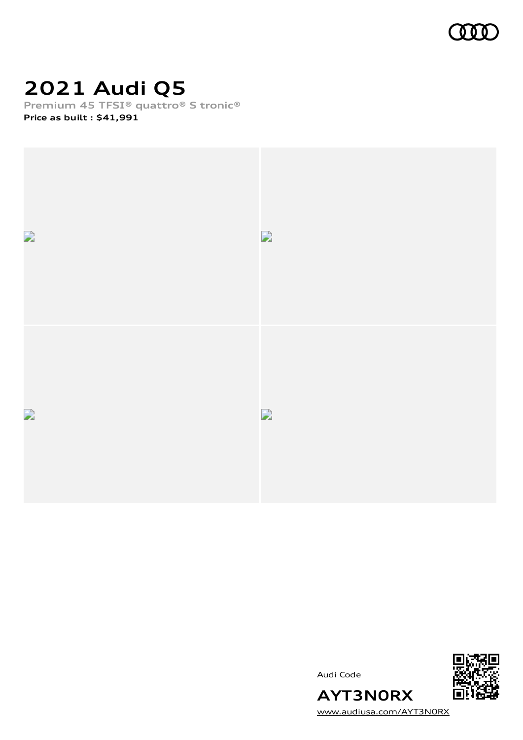

# **2021 Audi Q5**

**Premium 45 TFSI® quattro® S tronic®**

**Price as built [:](#page-8-0) \$41,991**







[www.audiusa.com/AYT3N0RX](https://www.audiusa.com/AYT3N0RX)

**AYT3N0RX**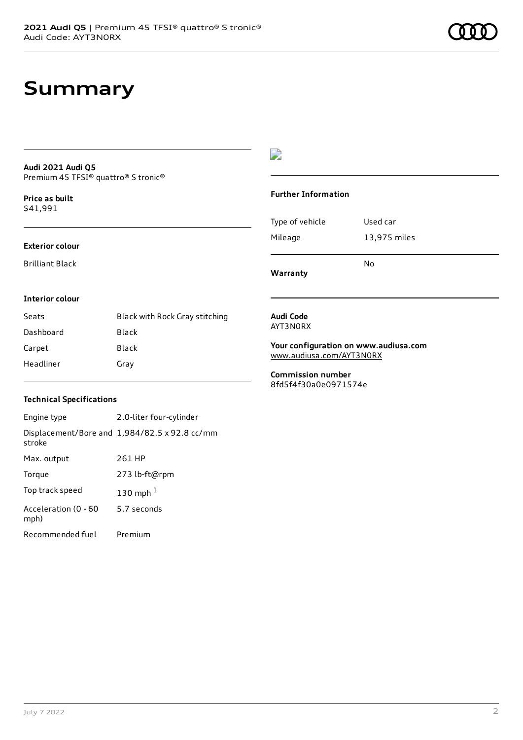# **Summary**

#### **Audi 2021 Audi Q5** Premium 45 TFSI® quattro® S tronic®

**Price as buil[t](#page-8-0)** \$41,991

#### **Exterior colour**

Brilliant Black

### $\overline{\phantom{a}}$

### **Further Information**

|                 | N٥           |
|-----------------|--------------|
| Mileage         | 13,975 miles |
| Type of vehicle | Used car     |

**Warranty**

#### **Interior colour**

| Seats     | Black with Rock Gray stitching |
|-----------|--------------------------------|
| Dashboard | Black                          |
| Carpet    | Black                          |
| Headliner | Gray                           |

#### **Audi Code** AYT3N0RX

**Your configuration on www.audiusa.com**

[www.audiusa.com/AYT3N0RX](https://www.audiusa.com/AYT3N0RX)

**Commission number** 8fd5f4f30a0e0971574e

### **Technical Specifications**

| Engine type                  | 2.0-liter four-cylinder                       |
|------------------------------|-----------------------------------------------|
| stroke                       | Displacement/Bore and 1,984/82.5 x 92.8 cc/mm |
| Max. output                  | 261 HP                                        |
| Torque                       | 273 lb-ft@rpm                                 |
| Top track speed              | 130 mph $1$                                   |
| Acceleration (0 - 60<br>mph) | 5.7 seconds                                   |
| Recommended fuel             | Premium                                       |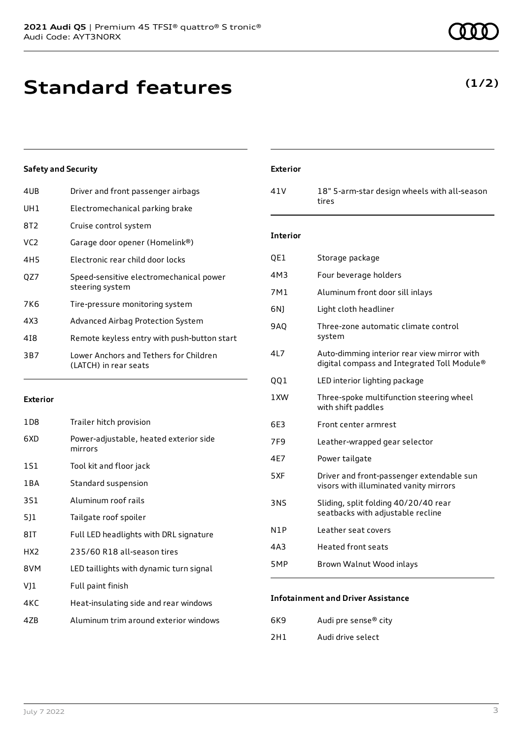# **Standard features**

### **Safety and Security**

| 4UB             | Driver and front passenger airbags                              |
|-----------------|-----------------------------------------------------------------|
| UH1             | Electromechanical parking brake                                 |
| 8T2             | Cruise control system                                           |
| VC2             | Garage door opener (Homelink®)                                  |
| 4H <sub>5</sub> | Electronic rear child door locks                                |
| OZ7             | Speed-sensitive electromechanical power<br>steering system      |
| 7K6             | Tire-pressure monitoring system                                 |
| 4X3             | Advanced Airbag Protection System                               |
| 418             | Remote keyless entry with push-button start                     |
| 3B7             | Lower Anchors and Tethers for Children<br>(LATCH) in rear seats |
|                 |                                                                 |

### **Exterior**

| 1D8   | Trailer hitch provision                           |
|-------|---------------------------------------------------|
| 6XD   | Power-adjustable, heated exterior side<br>mirrors |
| 1S1   | Tool kit and floor jack                           |
| 1 B A | Standard suspension                               |
| 3S1   | Aluminum roof rails                               |
| 511   | Tailgate roof spoiler                             |
| 8IT   | Full LED headlights with DRL signature            |
| HX2   | 235/60 R18 all-season tires                       |
| 8VM   | LED taillights with dynamic turn signal           |
| V]1   | Full paint finish                                 |
| 4KC   | Heat-insulating side and rear windows             |
| 47B   | Aluminum trim around exterior windows             |

### **Exterior**

41V 18" 5-arm-star design wheels with all-season tires

### **Interior**

| QE1             | Storage package                                                                            |
|-----------------|--------------------------------------------------------------------------------------------|
| 4M3             | Four beverage holders                                                                      |
| 7M1             | Aluminum front door sill inlays                                                            |
| 6N)             | Light cloth headliner                                                                      |
| <b>9AO</b>      | Three-zone automatic climate control<br>system                                             |
| 4L7             | Auto-dimming interior rear view mirror with<br>digital compass and Integrated Toll Module® |
| QQ1             | LED interior lighting package                                                              |
| 1XW             | Three-spoke multifunction steering wheel<br>with shift paddles                             |
| 6E3             | Front center armrest                                                                       |
| 7F <sub>9</sub> | Leather-wrapped gear selector                                                              |
| 4E7             | Power tailgate                                                                             |
| 5XF             | Driver and front-passenger extendable sun<br>visors with illuminated vanity mirrors        |
| 3NS             | Sliding, split folding 40/20/40 rear<br>seatbacks with adjustable recline                  |
| N1P             | Leather seat covers                                                                        |
| 4A3             | <b>Heated front seats</b>                                                                  |
| 5MP             | Brown Walnut Wood inlays                                                                   |
|                 |                                                                                            |

### **Infotainment and Driver Assistance**

| 6K9 | Audi pre sense <sup>®</sup> city |
|-----|----------------------------------|
| 2H1 | Audi drive select                |

### **(1/2)**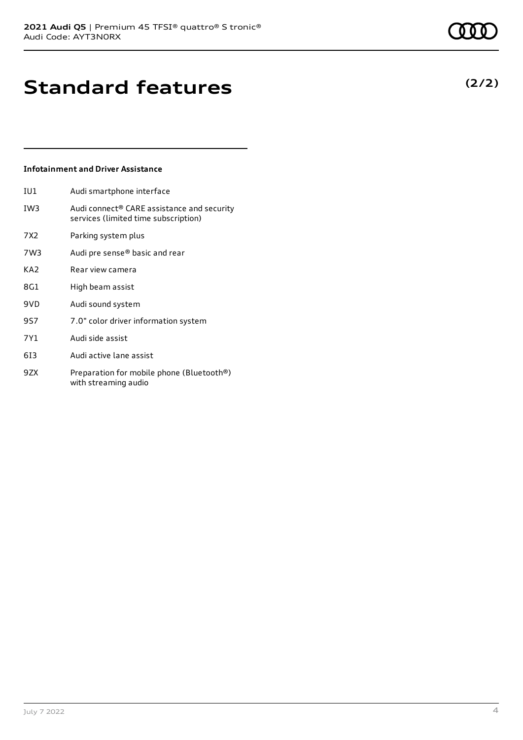### **(2/2)**

# **Standard features**

### **Infotainment and Driver Assistance**

IU1 Audi smartphone interface

- IW3 Audi connect® CARE assistance and security services (limited time subscription)
- 7X2 Parking system plus
- 7W3 Audi pre sense® basic and rear
- KA2 Rear view camera
- 8G1 High beam assist
- 9VD Audi sound system
- 9S7 7.0" color driver information system
- 7Y1 Audi side assist
- 6I3 Audi active lane assist
- 9ZX Preparation for mobile phone (Bluetooth®) with streaming audio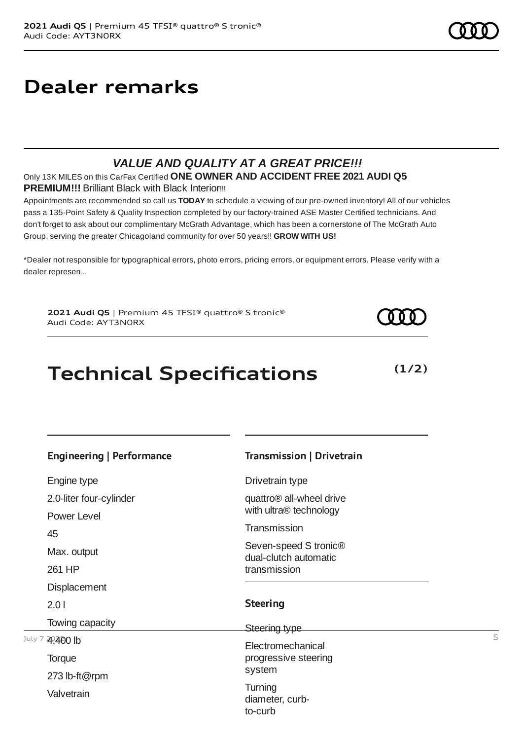## **Dealer remarks**

### *VALUE AND QUALITY AT A GREAT PRICE!!!*

Only 13K MILES on this CarFax Certified **ONE OWNER AND ACCIDENT FREE 2021 AUDI Q5 PREMIUM!!!** Brilliant Black with Black Interior!!!

Appointments are recommended so call us **TODAY** to schedule a viewing of our pre-owned inventory! All of our vehicles pass a 135-Point Safety & Quality Inspection completed by our factory-trained ASE Master Certified technicians. And don't forget to ask about our complimentary McGrath Advantage, which has been a cornerstone of The McGrath Auto Group, serving the greater Chicagoland community for over 50 years!! **GROW WITH US!**

\*Dealer not responsible for typographical errors, photo errors, pricing errors, or equipment errors. Please verify with a dealer represen...

**2021 Audi Q5** | Premium 45 TFSI® quattro® S tronic® Audi Code: AYT3N0RX

## **Technical Specifications**

|  | Engineering   Performance |
|--|---------------------------|
|--|---------------------------|

Engine type

2.0-liter four-cylinder

Power Level

45

Max. output

261 HP

Displacement

2.0 l

Towing capacity

**Torque** 273 lb-ft@rpm Valvetrain

### **Transmission | Drivetrain**

Drivetrain type

quattro® all-wheel drive with ultra® technology

**Transmission** 

Seven-speed S tronic® dual-clutch automatic transmission

### **Steering**

July 7  $\frac{200}{400}$  lb Steering type Electromechanical progressive steering system **Turning** diameter, curbto-curb



**(1/2)**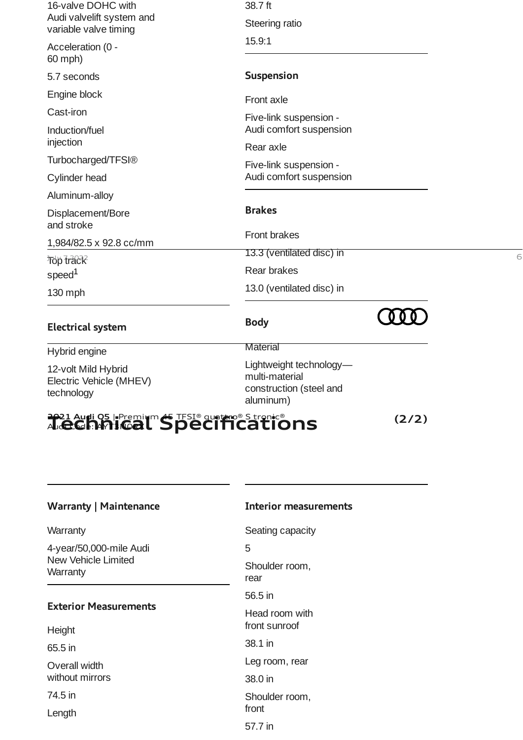| 16-valve DOHC with<br>Audi valvelift system and<br>variable valve timing | 38.7 ft                                                                           |   |
|--------------------------------------------------------------------------|-----------------------------------------------------------------------------------|---|
|                                                                          | Steering ratio                                                                    |   |
| Acceleration (0 -<br>60 mph)                                             | 15.9:1                                                                            |   |
| 5.7 seconds                                                              | <b>Suspension</b>                                                                 |   |
| Engine block                                                             | Front axle                                                                        |   |
| Cast-iron                                                                | Five-link suspension -                                                            |   |
| Induction/fuel                                                           | Audi comfort suspension                                                           |   |
| injection                                                                | Rear axle                                                                         |   |
| Turbocharged/TFSI®                                                       | Five-link suspension -                                                            |   |
| Cylinder head                                                            | Audi comfort suspension                                                           |   |
| Aluminum-alloy                                                           |                                                                                   |   |
| Displacement/Bore<br>and stroke                                          | <b>Brakes</b>                                                                     |   |
| 1,984/82.5 x 92.8 cc/mm                                                  | <b>Front brakes</b>                                                               |   |
| <b>TOP Track</b>                                                         | 13.3 (ventilated disc) in                                                         | 6 |
| speed <sup>1</sup>                                                       | Rear brakes                                                                       |   |
| 130 mph                                                                  | 13.0 (ventilated disc) in                                                         |   |
| <b>Electrical system</b>                                                 | <b>Body</b>                                                                       |   |
| Hybrid engine                                                            | <b>Material</b>                                                                   |   |
| 12-volt Mild Hybrid<br>Electric Vehicle (MHEV)<br>technology             | Lightweight technology-<br>multi-material<br>construction (steel and<br>aluminum) |   |

### **2021 Audi Q5** | Premium 45 TFSI® quattro® S tronic® Audi Code: AYT3N0RX **Technical Specifications**

**(2/2)**

## **Warranty | Maintenance Warranty** 4-year/50,000-mile Audi New Vehicle Limited **Warranty Exterior Measurements**

**Height** 

65.5 in

Overall width without mirrors

74.5 in

Length

### **Interior measurements**

Seating capacity 5 Shoulder room, rear 56.5 in Head room with front sunroof 38.1 in Leg room, rear 38.0 in Shoulder room, front

57.7 in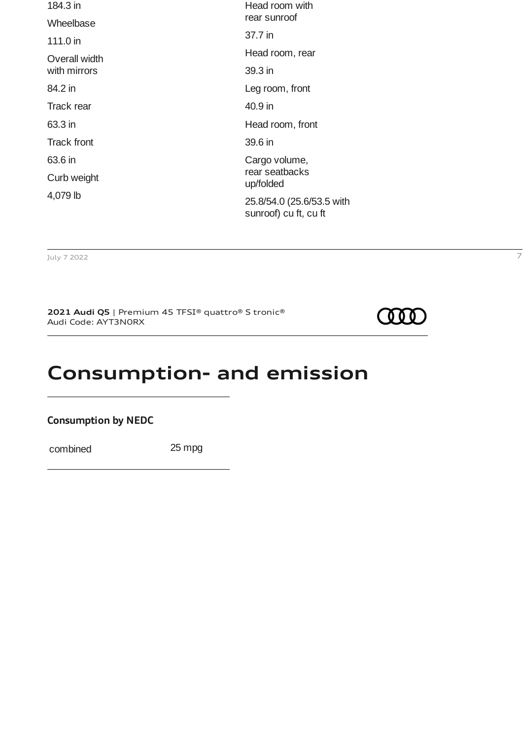| 184.3 in           | Head room with                                     |
|--------------------|----------------------------------------------------|
| Wheelbase          | rear sunroof                                       |
| $111.0$ in         | 37.7 in                                            |
| Overall width      | Head room, rear                                    |
| with mirrors       | 39.3 in                                            |
| 84.2 in            | Leg room, front                                    |
| Track rear         | 40.9 in                                            |
| 63.3 in            | Head room, front                                   |
| <b>Track front</b> | 39.6 in                                            |
| 63.6 in            | Cargo volume,                                      |
| Curb weight        | rear seatbacks<br>up/folded                        |
| 4,079 lb           | 25.8/54.0 (25.6/53.5 with<br>sunroof) cu ft, cu ft |

July 7 2022 7

**2021 Audi Q5** | Premium 45 TFSI® quattro® S tronic® Audi Code: AYT3N0RX



## **Consumption- and emission**

### **Consumption by NEDC**

combined 25 mpg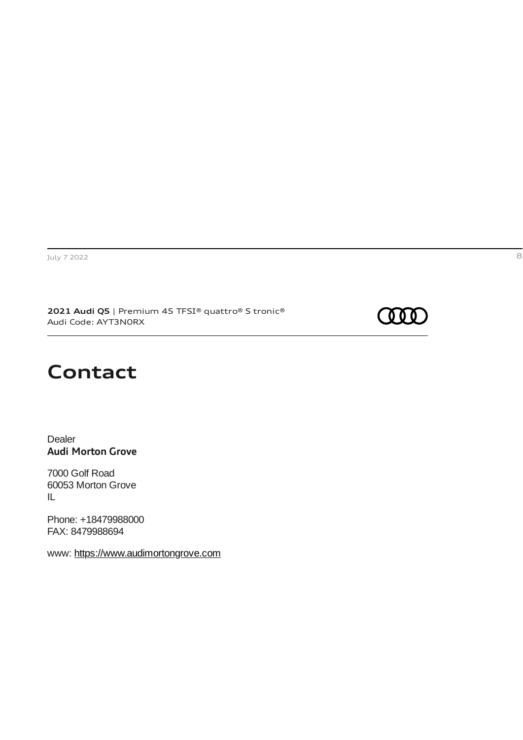**2021 Audi Q5** | Premium 45 TFSI® quattro® S tronic® Audi Code: AYT3N0RX



## **Contact**

Dealer **Audi Morton Grove**

7000 Golf Road 60053 Morton Grove IL

Phone: +18479988000 FAX: 8479988694

www: [https://www.audimortongrove.com](https://www.audimortongrove.com/)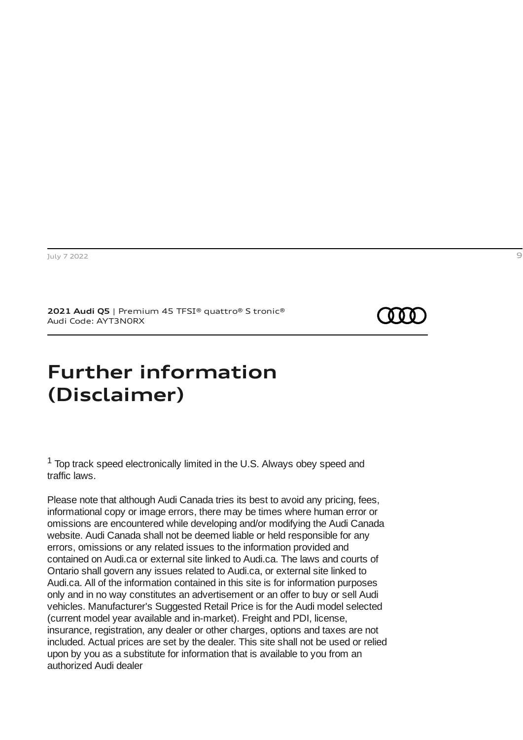**2021 Audi Q5** | Premium 45 TFSI® quattro® S tronic® Audi Code: AYT3N0RX



### <span id="page-8-0"></span>**Further information (Disclaimer)**

 $1$  Top track speed electronically limited in the U.S. Always obey speed and traffic laws.

Please note that although Audi Canada tries its best to avoid any pricing, fees, informational copy or image errors, there may be times where human error or omissions are encountered while developing and/or modifying the Audi Canada website. Audi Canada shall not be deemed liable or held responsible for any errors, omissions or any related issues to the information provided and contained on Audi.ca or external site linked to Audi.ca. The laws and courts of Ontario shall govern any issues related to Audi.ca, or external site linked to Audi.ca. All of the information contained in this site is for information purposes only and in no way constitutes an advertisement or an offer to buy or sell Audi vehicles. Manufacturer's Suggested Retail Price is for the Audi model selected (current model year available and in-market). Freight and PDI, license, insurance, registration, any dealer or other charges, options and taxes are not included. Actual prices are set by the dealer. This site shall not be used or relied upon by you as a substitute for information that is available to you from an authorized Audi dealer